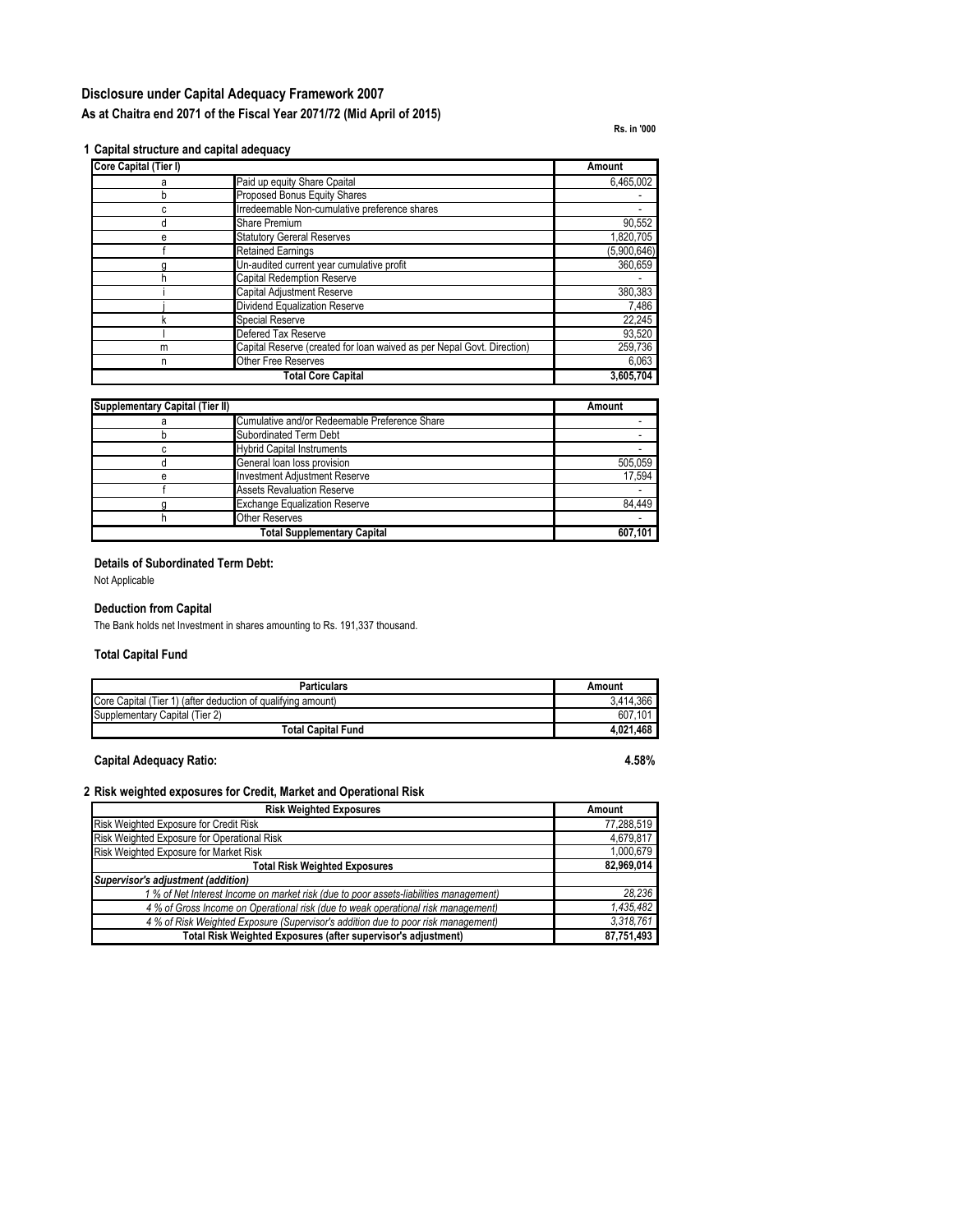# **Disclosure under Capital Adequacy Framework 2007 As at Chaitra end 2071 of the Fiscal Year 2071/72 (Mid April of 2015)**

**Rs. in '000**

#### **1 Capital structure and capital adequacy**

| Core Capital (Tier I) |                                                                        | Amount      |
|-----------------------|------------------------------------------------------------------------|-------------|
| а                     | Paid up equity Share Cpaital                                           | 6,465,002   |
| h                     | Proposed Bonus Equity Shares                                           |             |
| С                     | Irredeemable Non-cumulative preference shares                          |             |
| d                     | <b>Share Premium</b>                                                   | 90,552      |
| е                     | <b>Statutory Gereral Reserves</b>                                      | 1,820,705   |
|                       | <b>Retained Earnings</b>                                               | (5,900,646) |
|                       | Un-audited current year cumulative profit                              | 360,659     |
|                       | <b>Capital Redemption Reserve</b>                                      |             |
|                       | <b>Capital Adjustment Reserve</b>                                      | 380,383     |
|                       | Dividend Equalization Reserve                                          | 7,486       |
|                       | <b>Special Reserve</b>                                                 | 22,245      |
|                       | Defered Tax Reserve                                                    | 93,520      |
| m                     | Capital Reserve (created for loan waived as per Nepal Govt. Direction) | 259,736     |
| n                     | <b>Other Free Reserves</b>                                             | 6,063       |
|                       | <b>Total Core Capital</b>                                              | 3,605,704   |

| <b>Supplementary Capital (Tier II)</b> |                                               | Amount  |  |
|----------------------------------------|-----------------------------------------------|---------|--|
|                                        | Cumulative and/or Redeemable Preference Share |         |  |
|                                        | Subordinated Term Debt                        |         |  |
|                                        | <b>Hybrid Capital Instruments</b>             |         |  |
|                                        | General loan loss provision                   | 505.059 |  |
| e                                      | <b>Investment Adiustment Reserve</b>          | 17.594  |  |
|                                        | <b>Assets Revaluation Reserve</b>             |         |  |
|                                        | <b>Exchange Equalization Reserve</b>          | 84.449  |  |
|                                        | <b>Other Reserves</b>                         |         |  |
|                                        | <b>Total Supplementary Capital</b>            | 607.101 |  |

### **Details of Subordinated Term Debt:**

Not Applicable

## **Deduction from Capital**

The Bank holds net Investment in shares amounting to Rs. 191,337 thousand.

# **Total Capital Fund**

| <b>Particulars</b>                                           | Amount      |
|--------------------------------------------------------------|-------------|
| Core Capital (Tier 1) (after deduction of qualifying amount) | 3.414.366   |
| Supplementary Capital (Tier 2)                               | .101<br>607 |
| <b>Total Capital Fund</b>                                    | 4.021.468   |

### **Capital Adequacy Ratio: 4.58%**

#### **2 Risk weighted exposures for Credit, Market and Operational Risk**

| <b>Risk Weighted Exposures</b>                                                        | Amount     |
|---------------------------------------------------------------------------------------|------------|
| Risk Weighted Exposure for Credit Risk                                                | 77,288,519 |
| Risk Weighted Exposure for Operational Risk                                           | 4,679,817  |
| Risk Weighted Exposure for Market Risk                                                | 1,000,679  |
| <b>Total Risk Weighted Exposures</b>                                                  | 82,969,014 |
| Supervisor's adjustment (addition)                                                    |            |
| 1 % of Net Interest Income on market risk (due to poor assets-liabilities management) | 28,236     |
| 4 % of Gross Income on Operational risk (due to weak operational risk management)     | 1,435,482  |
| 4 % of Risk Weighted Exposure (Supervisor's addition due to poor risk management)     | 3,318,761  |
| Total Risk Weighted Exposures (after supervisor's adjustment)                         | 87,751,493 |